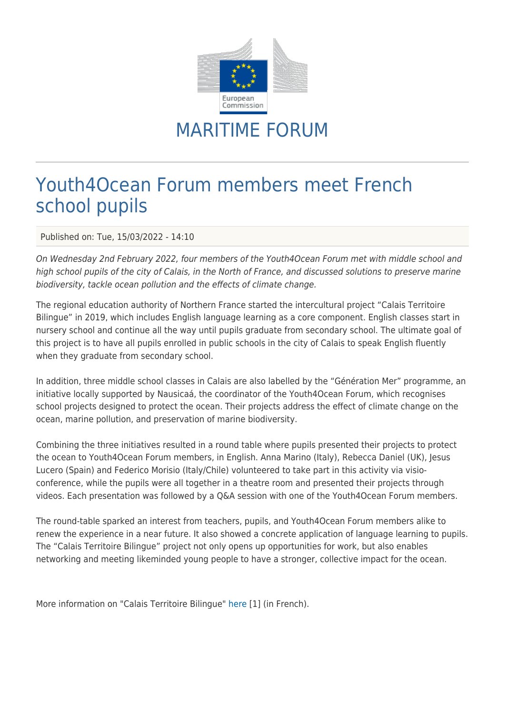

## MARITIME FORUM

## Youth4Ocean Forum members meet French school pupils

Published on: Tue, 15/03/2022 - 14:10

On Wednesday 2nd February 2022, four members of the Youth4Ocean Forum met with middle school and high school pupils of the city of Calais, in the North of France, and discussed solutions to preserve marine biodiversity, tackle ocean pollution and the effects of climate change.

The regional education authority of Northern France started the intercultural project "Calais Territoire Bilingue" in 2019, which includes English language learning as a core component. English classes start in nursery school and continue all the way until pupils graduate from secondary school. The ultimate goal of this project is to have all pupils enrolled in public schools in the city of Calais to speak English fluently when they graduate from secondary school.

In addition, three middle school classes in Calais are also labelled by the "Génération Mer" programme, an initiative locally supported by Nausicaá, the coordinator of the Youth4Ocean Forum, which recognises school projects designed to protect the ocean. Their projects address the effect of climate change on the ocean, marine pollution, and preservation of marine biodiversity.

Combining the three initiatives resulted in a round table where pupils presented their projects to protect the ocean to Youth4Ocean Forum members, in English. Anna Marino (Italy), Rebecca Daniel (UK), Jesus Lucero (Spain) and Federico Morisio (Italy/Chile) volunteered to take part in this activity via visioconference, while the pupils were all together in a theatre room and presented their projects through videos. Each presentation was followed by a Q&A session with one of the Youth4Ocean Forum members.

The round-table sparked an interest from teachers, pupils, and Youth4Ocean Forum members alike to renew the experience in a near future. It also showed a concrete application of language learning to pupils. The "Calais Territoire Bilingue" project not only opens up opportunities for work, but also enables networking and meeting likeminded young people to have a stronger, collective impact for the ocean.

More information on "Calais Territoire Bilingue" [here](https://www1.ac-lille.fr/calais-territoire-bilingue-un-projet-d-ouverture-sur-l-europe-123014) [1] (in French).